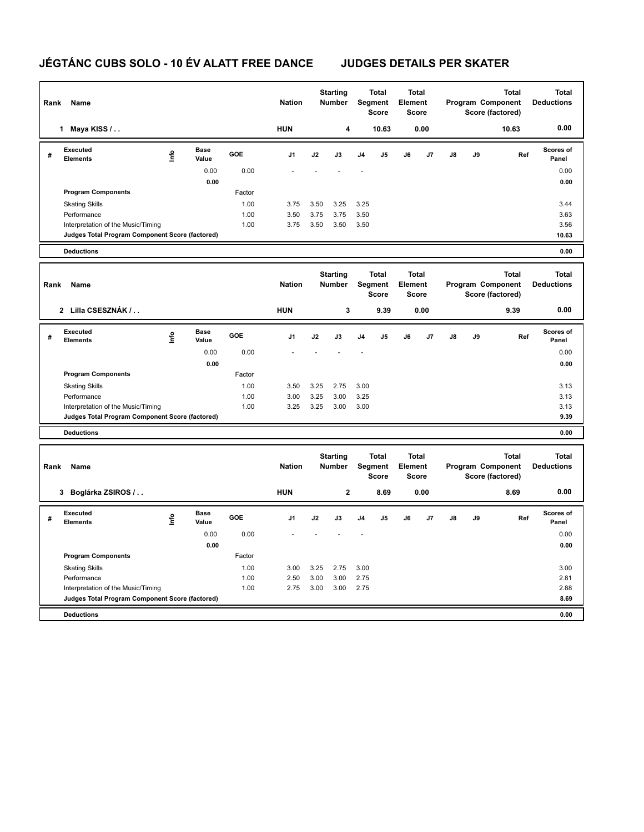## **JÉGTÁNC CUBS SOLO - 10 ÉV ALATT FREE DANCE JUDGES DETAILS PER SKATER**

| Rank | Name                                                                                  |                                  |                      | <b>Nation</b> | <b>Starting</b><br><b>Number</b> |                                  | Total<br><b>Total</b><br>Segment<br><b>Element</b><br><b>Score</b><br><b>Score</b> |                                         |                | <b>Total</b><br>Program Component<br>Score (factored) |                |                                                       | <b>Total</b><br><b>Deductions</b> |       |                                   |
|------|---------------------------------------------------------------------------------------|----------------------------------|----------------------|---------------|----------------------------------|----------------------------------|------------------------------------------------------------------------------------|-----------------------------------------|----------------|-------------------------------------------------------|----------------|-------------------------------------------------------|-----------------------------------|-------|-----------------------------------|
|      | 1 Maya KISS /                                                                         |                                  |                      |               | <b>HUN</b>                       |                                  | 4                                                                                  |                                         | 10.63          |                                                       | 0.00           |                                                       |                                   | 10.63 | 0.00                              |
| #    | <b>Executed</b><br><b>Elements</b>                                                    | lnfo                             | <b>Base</b><br>Value | GOE           | J <sub>1</sub>                   | J2                               | J3                                                                                 | J <sub>4</sub>                          | J <sub>5</sub> | J6                                                    | J7             | J8                                                    | J9                                | Ref   | <b>Scores of</b><br>Panel         |
|      |                                                                                       |                                  | 0.00                 | 0.00          |                                  |                                  |                                                                                    |                                         |                |                                                       |                |                                                       |                                   |       | 0.00                              |
|      |                                                                                       |                                  | 0.00                 |               |                                  |                                  |                                                                                    |                                         |                |                                                       |                |                                                       |                                   |       | 0.00                              |
|      | <b>Program Components</b>                                                             |                                  |                      | Factor        |                                  |                                  |                                                                                    |                                         |                |                                                       |                |                                                       |                                   |       |                                   |
|      | <b>Skating Skills</b>                                                                 |                                  |                      | 1.00          | 3.75                             | 3.50                             | 3.25                                                                               | 3.25                                    |                |                                                       |                |                                                       |                                   |       | 3.44                              |
|      | Performance<br>Interpretation of the Music/Timing                                     |                                  |                      | 1.00<br>1.00  | 3.50<br>3.75                     | 3.75<br>3.50                     | 3.75<br>3.50                                                                       | 3.50<br>3.50                            |                |                                                       |                |                                                       |                                   |       | 3.63<br>3.56                      |
|      | Judges Total Program Component Score (factored)                                       |                                  |                      |               |                                  |                                  |                                                                                    |                                         |                |                                                       |                |                                                       |                                   |       | 10.63                             |
|      | <b>Deductions</b>                                                                     |                                  |                      |               |                                  |                                  |                                                                                    |                                         |                |                                                       |                |                                                       |                                   |       | 0.00                              |
|      |                                                                                       |                                  |                      |               |                                  |                                  |                                                                                    |                                         |                |                                                       |                |                                                       |                                   |       |                                   |
| Rank | Name                                                                                  |                                  |                      | <b>Nation</b> |                                  | <b>Starting</b><br><b>Number</b> |                                                                                    | <b>Total</b><br>Segment<br><b>Score</b> |                | <b>Total</b><br>Element<br><b>Score</b>               |                | <b>Total</b><br>Program Component<br>Score (factored) |                                   |       | <b>Total</b><br><b>Deductions</b> |
|      | 2 Lilla CSESZNÁK /                                                                    |                                  |                      |               | <b>HUN</b>                       |                                  | $\mathbf 3$                                                                        |                                         | 9.39           |                                                       | 0.00           |                                                       |                                   | 9.39  | 0.00                              |
| #    | Executed<br><b>Elements</b>                                                           | $\mathop{\mathsf{Irr}}\nolimits$ | <b>Base</b><br>Value | <b>GOE</b>    | J1                               | J2                               | J3                                                                                 | J4                                      | J5             | J6                                                    | J7             | J8                                                    | J9                                | Ref   | Scores of<br>Panel                |
|      |                                                                                       |                                  | 0.00                 | 0.00          |                                  |                                  |                                                                                    |                                         |                |                                                       |                |                                                       |                                   |       | 0.00                              |
|      |                                                                                       |                                  | 0.00                 |               |                                  |                                  |                                                                                    |                                         |                |                                                       |                |                                                       |                                   |       | 0.00                              |
|      | <b>Program Components</b>                                                             |                                  |                      | Factor        |                                  |                                  |                                                                                    |                                         |                |                                                       |                |                                                       |                                   |       |                                   |
|      | <b>Skating Skills</b>                                                                 |                                  |                      | 1.00          | 3.50                             | 3.25                             | 2.75                                                                               | 3.00                                    |                |                                                       |                |                                                       |                                   |       | 3.13                              |
|      | Performance<br>Interpretation of the Music/Timing                                     |                                  |                      | 1.00<br>1.00  | 3.00<br>3.25                     | 3.25<br>3.25                     | 3.00<br>3.00                                                                       | 3.25<br>3.00                            |                |                                                       |                |                                                       |                                   |       | 3.13<br>3.13                      |
|      | Judges Total Program Component Score (factored)                                       |                                  |                      |               |                                  |                                  |                                                                                    |                                         |                |                                                       |                |                                                       |                                   |       | 9.39                              |
|      | <b>Deductions</b>                                                                     |                                  |                      |               |                                  |                                  |                                                                                    |                                         |                |                                                       |                |                                                       |                                   |       | 0.00                              |
|      |                                                                                       |                                  |                      |               |                                  |                                  |                                                                                    |                                         |                |                                                       |                |                                                       |                                   |       |                                   |
| Rank | Name                                                                                  |                                  |                      |               | <b>Nation</b>                    | <b>Starting</b><br><b>Number</b> |                                                                                    | <b>Total</b><br>Segment<br><b>Score</b> |                | <b>Total</b><br>Element<br><b>Score</b>               |                | <b>Total</b><br>Program Component<br>Score (factored) |                                   |       | <b>Total</b><br><b>Deductions</b> |
|      | 3 Boglárka ZSIROS /                                                                   |                                  |                      |               | <b>HUN</b>                       |                                  | $\overline{\mathbf{2}}$                                                            |                                         | 8.69           |                                                       | 0.00           |                                                       |                                   | 8.69  | 0.00                              |
| #    | <b>Executed</b><br><b>Elements</b>                                                    | lnfo                             | <b>Base</b><br>Value | GOE           | J <sub>1</sub>                   | J2                               | J3                                                                                 | J <sub>4</sub>                          | J5             | J6                                                    | J <sub>7</sub> | J8                                                    | J9                                | Ref   | <b>Scores of</b><br>Panel         |
|      |                                                                                       |                                  | 0.00                 | 0.00          |                                  |                                  |                                                                                    |                                         |                |                                                       |                |                                                       |                                   |       | 0.00                              |
|      |                                                                                       |                                  | 0.00                 |               |                                  |                                  |                                                                                    |                                         |                |                                                       |                |                                                       |                                   |       | 0.00                              |
|      | <b>Program Components</b>                                                             |                                  |                      | Factor        |                                  |                                  |                                                                                    |                                         |                |                                                       |                |                                                       |                                   |       |                                   |
|      | <b>Skating Skills</b>                                                                 |                                  |                      | 1.00          | 3.00                             | 3.25                             | 2.75                                                                               | 3.00                                    |                |                                                       |                |                                                       |                                   |       | 3.00                              |
|      | Performance                                                                           |                                  |                      | 1.00          | 2.50                             | 3.00                             | 3.00                                                                               | 2.75                                    |                |                                                       |                |                                                       |                                   |       | 2.81                              |
|      | Interpretation of the Music/Timing<br>Judges Total Program Component Score (factored) |                                  |                      | 1.00          | 2.75                             | 3.00                             | 3.00                                                                               | 2.75                                    |                |                                                       |                |                                                       |                                   |       | 2.88<br>8.69                      |
|      |                                                                                       |                                  |                      |               |                                  |                                  |                                                                                    |                                         |                |                                                       |                |                                                       |                                   |       |                                   |
|      | <b>Deductions</b>                                                                     |                                  |                      |               |                                  |                                  |                                                                                    |                                         |                |                                                       |                |                                                       |                                   |       | 0.00                              |